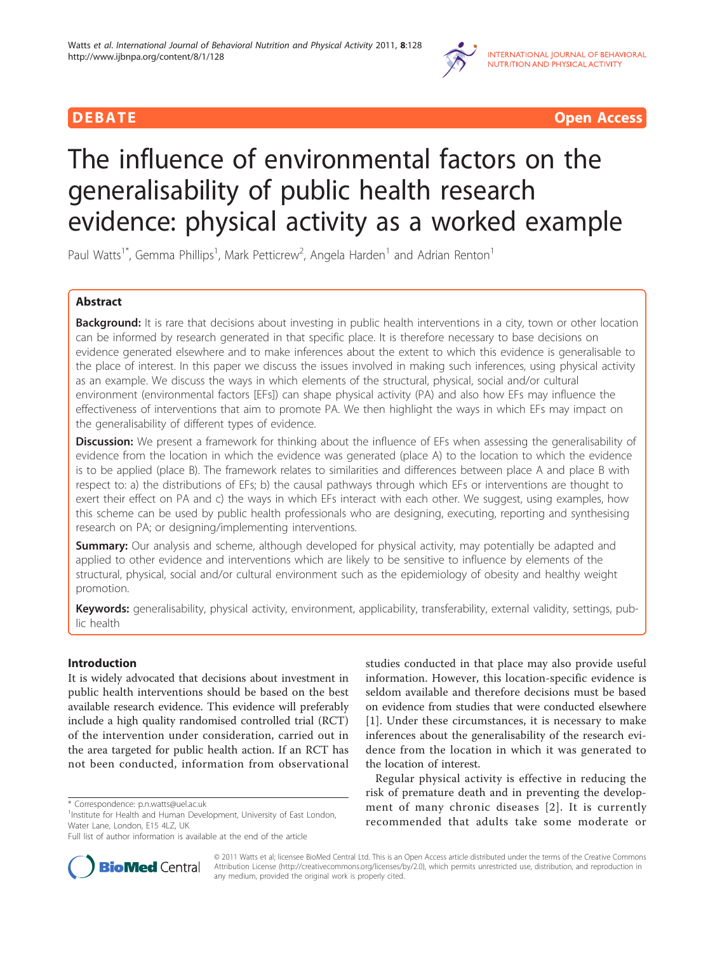

**DEBATE CONSERVATION CONSERVATION** 

# The influence of environmental factors on the generalisability of public health research evidence: physical activity as a worked example

Paul Watts<sup>1\*</sup>, Gemma Phillips<sup>1</sup>, Mark Petticrew<sup>2</sup>, Angela Harden<sup>1</sup> and Adrian Renton<sup>1</sup>

# Abstract

Background: It is rare that decisions about investing in public health interventions in a city, town or other location can be informed by research generated in that specific place. It is therefore necessary to base decisions on evidence generated elsewhere and to make inferences about the extent to which this evidence is generalisable to the place of interest. In this paper we discuss the issues involved in making such inferences, using physical activity as an example. We discuss the ways in which elements of the structural, physical, social and/or cultural environment (environmental factors [EFs]) can shape physical activity (PA) and also how EFs may influence the effectiveness of interventions that aim to promote PA. We then highlight the ways in which EFs may impact on the generalisability of different types of evidence.

**Discussion:** We present a framework for thinking about the influence of EFs when assessing the generalisability of evidence from the location in which the evidence was generated (place A) to the location to which the evidence is to be applied (place B). The framework relates to similarities and differences between place A and place B with respect to: a) the distributions of EFs; b) the causal pathways through which EFs or interventions are thought to exert their effect on PA and c) the ways in which EFs interact with each other. We suggest, using examples, how this scheme can be used by public health professionals who are designing, executing, reporting and synthesising research on PA; or designing/implementing interventions.

**Summary:** Our analysis and scheme, although developed for physical activity, may potentially be adapted and applied to other evidence and interventions which are likely to be sensitive to influence by elements of the structural, physical, social and/or cultural environment such as the epidemiology of obesity and healthy weight promotion.

Keywords: generalisability, physical activity, environment, applicability, transferability, external validity, settings, public health

# Introduction

It is widely advocated that decisions about investment in public health interventions should be based on the best available research evidence. This evidence will preferably include a high quality randomised controlled trial (RCT) of the intervention under consideration, carried out in the area targeted for public health action. If an RCT has not been conducted, information from observational



Regular physical activity is effective in reducing the risk of premature death and in preventing the development of many chronic diseases [[2](#page-10-0)]. It is currently recommended that adults take some moderate or



© 2011 Watts et al; licensee BioMed Central Ltd. This is an Open Access article distributed under the terms of the Creative Commons Attribution License [\(http://creativecommons.org/licenses/by/2.0](http://creativecommons.org/licenses/by/2.0)), which permits unrestricted use, distribution, and reproduction in any medium, provided the original work is properly cited.

<sup>\*</sup> Correspondence: [p.n.watts@uel.ac.uk](mailto:p.n.watts@uel.ac.uk)

<sup>&</sup>lt;sup>1</sup>Institute for Health and Human Development, University of East London, Water Lane, London, E15 4LZ, UK

Full list of author information is available at the end of the article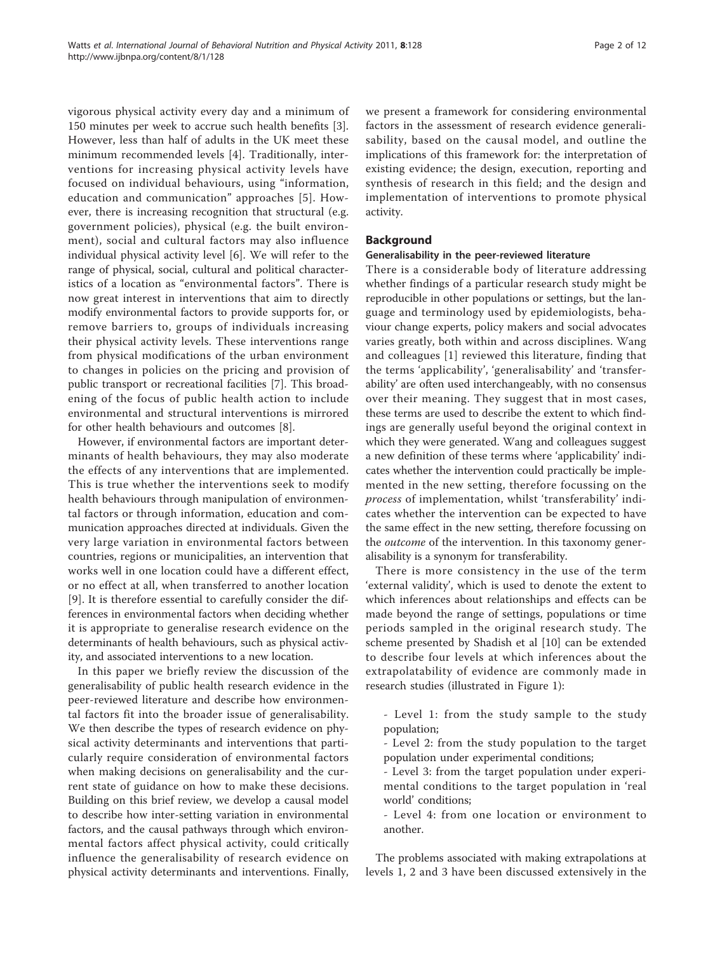vigorous physical activity every day and a minimum of 150 minutes per week to accrue such health benefits [\[3](#page-10-0)]. However, less than half of adults in the UK meet these minimum recommended levels [[4\]](#page-10-0). Traditionally, interventions for increasing physical activity levels have focused on individual behaviours, using "information, education and communication" approaches [[5](#page-10-0)]. However, there is increasing recognition that structural (e.g. government policies), physical (e.g. the built environment), social and cultural factors may also influence individual physical activity level [\[6](#page-10-0)]. We will refer to the range of physical, social, cultural and political characteristics of a location as "environmental factors". There is now great interest in interventions that aim to directly modify environmental factors to provide supports for, or remove barriers to, groups of individuals increasing their physical activity levels. These interventions range from physical modifications of the urban environment to changes in policies on the pricing and provision of public transport or recreational facilities [[7\]](#page-10-0). This broadening of the focus of public health action to include environmental and structural interventions is mirrored for other health behaviours and outcomes [[8\]](#page-10-0).

However, if environmental factors are important determinants of health behaviours, they may also moderate the effects of any interventions that are implemented. This is true whether the interventions seek to modify health behaviours through manipulation of environmental factors or through information, education and communication approaches directed at individuals. Given the very large variation in environmental factors between countries, regions or municipalities, an intervention that works well in one location could have a different effect, or no effect at all, when transferred to another location [[9](#page-10-0)]. It is therefore essential to carefully consider the differences in environmental factors when deciding whether it is appropriate to generalise research evidence on the determinants of health behaviours, such as physical activity, and associated interventions to a new location.

In this paper we briefly review the discussion of the generalisability of public health research evidence in the peer-reviewed literature and describe how environmental factors fit into the broader issue of generalisability. We then describe the types of research evidence on physical activity determinants and interventions that particularly require consideration of environmental factors when making decisions on generalisability and the current state of guidance on how to make these decisions. Building on this brief review, we develop a causal model to describe how inter-setting variation in environmental factors, and the causal pathways through which environmental factors affect physical activity, could critically influence the generalisability of research evidence on physical activity determinants and interventions. Finally, we present a framework for considering environmental factors in the assessment of research evidence generalisability, based on the causal model, and outline the implications of this framework for: the interpretation of existing evidence; the design, execution, reporting and synthesis of research in this field; and the design and implementation of interventions to promote physical activity.

# Background

# Generalisability in the peer-reviewed literature

There is a considerable body of literature addressing whether findings of a particular research study might be reproducible in other populations or settings, but the language and terminology used by epidemiologists, behaviour change experts, policy makers and social advocates varies greatly, both within and across disciplines. Wang and colleagues [\[1](#page-10-0)] reviewed this literature, finding that the terms 'applicability', 'generalisability' and 'transferability' are often used interchangeably, with no consensus over their meaning. They suggest that in most cases, these terms are used to describe the extent to which findings are generally useful beyond the original context in which they were generated. Wang and colleagues suggest a new definition of these terms where 'applicability' indicates whether the intervention could practically be implemented in the new setting, therefore focussing on the process of implementation, whilst 'transferability' indicates whether the intervention can be expected to have the same effect in the new setting, therefore focussing on the *outcome* of the intervention. In this taxonomy generalisability is a synonym for transferability.

There is more consistency in the use of the term 'external validity', which is used to denote the extent to which inferences about relationships and effects can be made beyond the range of settings, populations or time periods sampled in the original research study. The scheme presented by Shadish et al [\[10](#page-10-0)] can be extended to describe four levels at which inferences about the extrapolatability of evidence are commonly made in research studies (illustrated in Figure [1](#page-2-0)):

- Level 1: from the study sample to the study population;

- Level 2: from the study population to the target population under experimental conditions;
- Level 3: from the target population under experimental conditions to the target population in 'real world' conditions;
- Level 4: from one location or environment to another.

The problems associated with making extrapolations at levels 1, 2 and 3 have been discussed extensively in the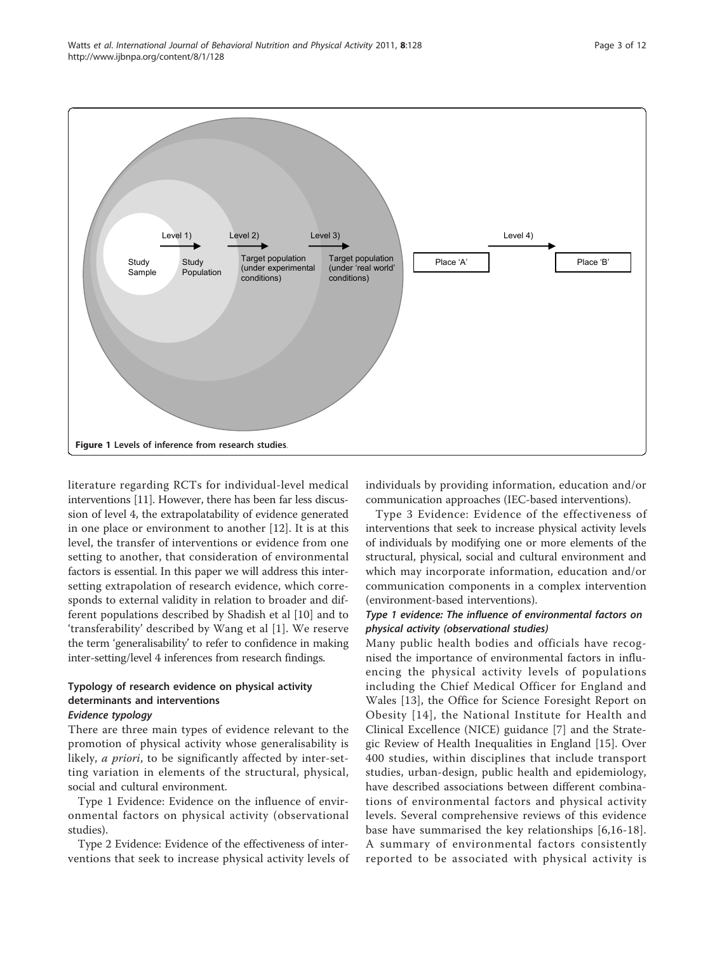<span id="page-2-0"></span>

literature regarding RCTs for individual-level medical interventions [\[11](#page-10-0)]. However, there has been far less discussion of level 4, the extrapolatability of evidence generated in one place or environment to another [[12](#page-10-0)]. It is at this level, the transfer of interventions or evidence from one setting to another, that consideration of environmental factors is essential. In this paper we will address this intersetting extrapolation of research evidence, which corresponds to external validity in relation to broader and different populations described by Shadish et al [\[10](#page-10-0)] and to 'transferability' described by Wang et al [[1\]](#page-10-0). We reserve the term 'generalisability' to refer to confidence in making inter-setting/level 4 inferences from research findings.

# Typology of research evidence on physical activity determinants and interventions

# Evidence typology

There are three main types of evidence relevant to the promotion of physical activity whose generalisability is likely, *a priori*, to be significantly affected by inter-setting variation in elements of the structural, physical, social and cultural environment.

Type 1 Evidence: Evidence on the influence of environmental factors on physical activity (observational studies).

Type 2 Evidence: Evidence of the effectiveness of interventions that seek to increase physical activity levels of

individuals by providing information, education and/or communication approaches (IEC-based interventions).

Type 3 Evidence: Evidence of the effectiveness of interventions that seek to increase physical activity levels of individuals by modifying one or more elements of the structural, physical, social and cultural environment and which may incorporate information, education and/or communication components in a complex intervention (environment-based interventions).

# Type 1 evidence: The influence of environmental factors on physical activity (observational studies)

Many public health bodies and officials have recognised the importance of environmental factors in influencing the physical activity levels of populations including the Chief Medical Officer for England and Wales [\[13](#page-10-0)], the Office for Science Foresight Report on Obesity [[14\]](#page-10-0), the National Institute for Health and Clinical Excellence (NICE) guidance [[7\]](#page-10-0) and the Strategic Review of Health Inequalities in England [\[15](#page-10-0)]. Over 400 studies, within disciplines that include transport studies, urban-design, public health and epidemiology, have described associations between different combinations of environmental factors and physical activity levels. Several comprehensive reviews of this evidence base have summarised the key relationships [\[6](#page-10-0),[16-18](#page-11-0)]. A summary of environmental factors consistently reported to be associated with physical activity is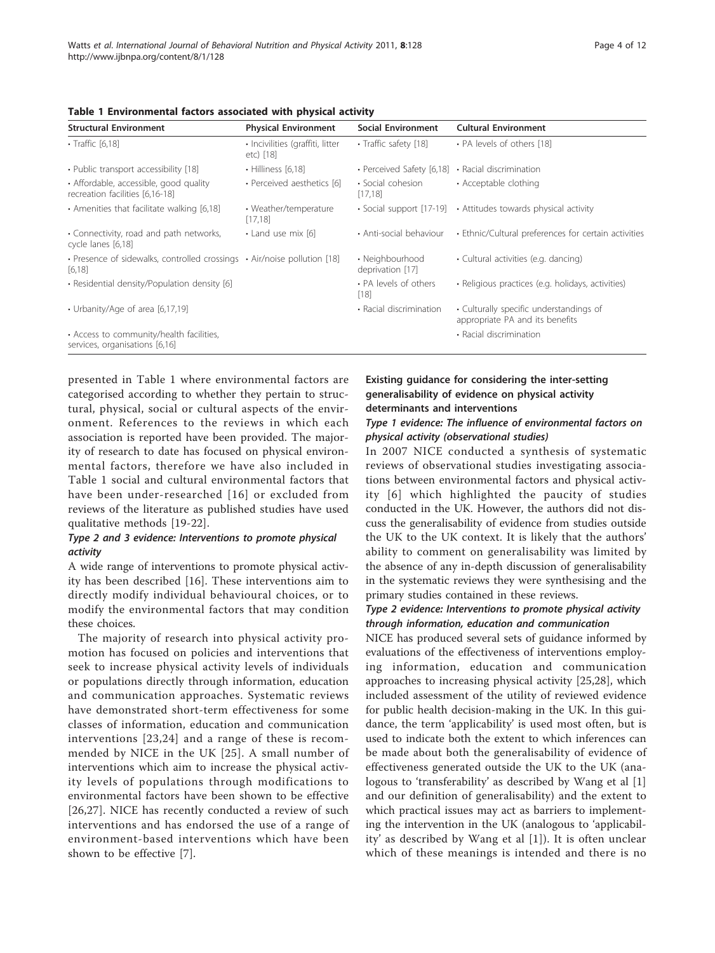| <b>Structural Environment</b>                                                       | <b>Physical Environment</b>                   | <b>Social Environment</b>                         | <b>Cultural Environment</b>                                                |
|-------------------------------------------------------------------------------------|-----------------------------------------------|---------------------------------------------------|----------------------------------------------------------------------------|
| $\cdot$ Traffic [6,18]                                                              | · Incivilities (graffiti, litter<br>etc) [18] | • Traffic safety [18]                             | • PA levels of others [18]                                                 |
| • Public transport accessibility [18]                                               | • Hilliness [6,18]                            | • Perceived Safety [6,18] • Racial discrimination |                                                                            |
| • Affordable, accessible, good quality<br>recreation facilities [6,16-18]           | • Perceived aesthetics [6]                    | • Social cohesion<br>[17, 18]                     | • Acceptable clothing                                                      |
| • Amenities that facilitate walking [6,18]                                          | • Weather/temperature<br>[17, 18]             |                                                   | • Social support $[17-19]$ • Attitudes towards physical activity           |
| • Connectivity, road and path networks,<br>cycle lanes [6,18]                       | • Land use mix [6]                            | • Anti-social behaviour                           | • Ethnic/Cultural preferences for certain activities                       |
| • Presence of sidewalks, controlled crossings • Air/noise pollution [18]<br>[6, 18] |                                               | • Neighbourhood<br>deprivation [17]               | • Cultural activities (e.g. dancing)                                       |
| • Residential density/Population density [6]                                        |                                               | • PA levels of others<br>$[18]$                   | · Religious practices (e.g. holidays, activities)                          |
| • Urbanity/Age of area [6,17,19]                                                    |                                               | • Racial discrimination                           | • Culturally specific understandings of<br>appropriate PA and its benefits |
| • Access to community/health facilities,<br>services, organisations [6,16]          |                                               |                                                   | • Racial discrimination                                                    |

<span id="page-3-0"></span>Table 1 Environmental factors associated with physical activity

presented in Table 1 where environmental factors are categorised according to whether they pertain to structural, physical, social or cultural aspects of the environment. References to the reviews in which each association is reported have been provided. The majority of research to date has focused on physical environmental factors, therefore we have also included in Table 1 social and cultural environmental factors that have been under-researched [[16\]](#page-11-0) or excluded from reviews of the literature as published studies have used qualitative methods [[19-22](#page-11-0)].

# Type 2 and 3 evidence: Interventions to promote physical activity

A wide range of interventions to promote physical activity has been described [\[16](#page-11-0)]. These interventions aim to directly modify individual behavioural choices, or to modify the environmental factors that may condition these choices.

The majority of research into physical activity promotion has focused on policies and interventions that seek to increase physical activity levels of individuals or populations directly through information, education and communication approaches. Systematic reviews have demonstrated short-term effectiveness for some classes of information, education and communication interventions [[23,24\]](#page-11-0) and a range of these is recommended by NICE in the UK [\[25\]](#page-11-0). A small number of interventions which aim to increase the physical activity levels of populations through modifications to environmental factors have been shown to be effective [[26,27\]](#page-11-0). NICE has recently conducted a review of such interventions and has endorsed the use of a range of environment-based interventions which have been shown to be effective [[7\]](#page-10-0).

# Existing guidance for considering the inter-setting generalisability of evidence on physical activity determinants and interventions

# Type 1 evidence: The influence of environmental factors on physical activity (observational studies)

In 2007 NICE conducted a synthesis of systematic reviews of observational studies investigating associations between environmental factors and physical activity [[6\]](#page-10-0) which highlighted the paucity of studies conducted in the UK. However, the authors did not discuss the generalisability of evidence from studies outside the UK to the UK context. It is likely that the authors' ability to comment on generalisability was limited by the absence of any in-depth discussion of generalisability in the systematic reviews they were synthesising and the primary studies contained in these reviews.

# Type 2 evidence: Interventions to promote physical activity through information, education and communication

NICE has produced several sets of guidance informed by evaluations of the effectiveness of interventions employing information, education and communication approaches to increasing physical activity [\[25,28](#page-11-0)], which included assessment of the utility of reviewed evidence for public health decision-making in the UK. In this guidance, the term 'applicability' is used most often, but is used to indicate both the extent to which inferences can be made about both the generalisability of evidence of effectiveness generated outside the UK to the UK (analogous to 'transferability' as described by Wang et al [\[1](#page-10-0)] and our definition of generalisability) and the extent to which practical issues may act as barriers to implementing the intervention in the UK (analogous to 'applicability' as described by Wang et al [[1](#page-10-0)]). It is often unclear which of these meanings is intended and there is no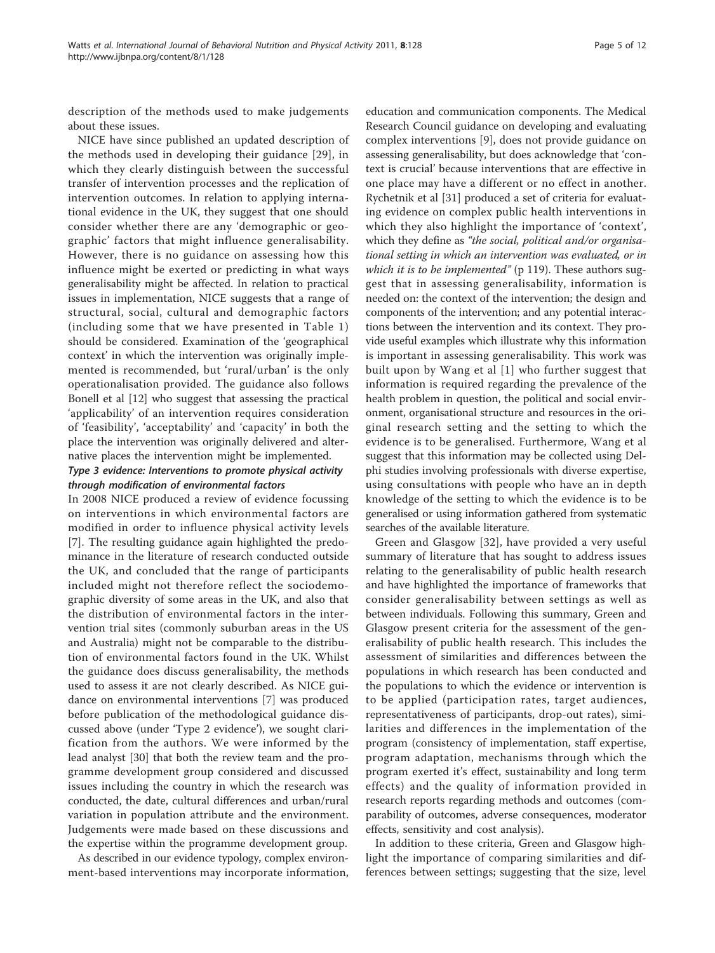description of the methods used to make judgements about these issues.

NICE have since published an updated description of the methods used in developing their guidance [\[29](#page-11-0)], in which they clearly distinguish between the successful transfer of intervention processes and the replication of intervention outcomes. In relation to applying international evidence in the UK, they suggest that one should consider whether there are any 'demographic or geographic' factors that might influence generalisability. However, there is no guidance on assessing how this influence might be exerted or predicting in what ways generalisability might be affected. In relation to practical issues in implementation, NICE suggests that a range of structural, social, cultural and demographic factors (including some that we have presented in Table [1](#page-3-0)) should be considered. Examination of the 'geographical context' in which the intervention was originally implemented is recommended, but 'rural/urban' is the only operationalisation provided. The guidance also follows Bonell et al [\[12\]](#page-10-0) who suggest that assessing the practical 'applicability' of an intervention requires consideration of 'feasibility', 'acceptability' and 'capacity' in both the place the intervention was originally delivered and alternative places the intervention might be implemented.

# Type 3 evidence: Interventions to promote physical activity through modification of environmental factors

In 2008 NICE produced a review of evidence focussing on interventions in which environmental factors are modified in order to influence physical activity levels [[7\]](#page-10-0). The resulting guidance again highlighted the predominance in the literature of research conducted outside the UK, and concluded that the range of participants included might not therefore reflect the sociodemographic diversity of some areas in the UK, and also that the distribution of environmental factors in the intervention trial sites (commonly suburban areas in the US and Australia) might not be comparable to the distribution of environmental factors found in the UK. Whilst the guidance does discuss generalisability, the methods used to assess it are not clearly described. As NICE guidance on environmental interventions [[7\]](#page-10-0) was produced before publication of the methodological guidance discussed above (under 'Type 2 evidence'), we sought clarification from the authors. We were informed by the lead analyst [\[30](#page-11-0)] that both the review team and the programme development group considered and discussed issues including the country in which the research was conducted, the date, cultural differences and urban/rural variation in population attribute and the environment. Judgements were made based on these discussions and the expertise within the programme development group.

As described in our evidence typology, complex environment-based interventions may incorporate information,

education and communication components. The Medical Research Council guidance on developing and evaluating complex interventions [[9\]](#page-10-0), does not provide guidance on assessing generalisability, but does acknowledge that 'context is crucial' because interventions that are effective in one place may have a different or no effect in another. Rychetnik et al [\[31](#page-11-0)] produced a set of criteria for evaluating evidence on complex public health interventions in which they also highlight the importance of 'context', which they define as "the social, political and/or organisational setting in which an intervention was evaluated, or in which it is to be implemented" ( $p$  119). These authors suggest that in assessing generalisability, information is needed on: the context of the intervention; the design and components of the intervention; and any potential interactions between the intervention and its context. They provide useful examples which illustrate why this information is important in assessing generalisability. This work was built upon by Wang et al [\[1\]](#page-10-0) who further suggest that information is required regarding the prevalence of the health problem in question, the political and social environment, organisational structure and resources in the original research setting and the setting to which the evidence is to be generalised. Furthermore, Wang et al suggest that this information may be collected using Delphi studies involving professionals with diverse expertise, using consultations with people who have an in depth knowledge of the setting to which the evidence is to be generalised or using information gathered from systematic searches of the available literature.

Green and Glasgow [[32](#page-11-0)], have provided a very useful summary of literature that has sought to address issues relating to the generalisability of public health research and have highlighted the importance of frameworks that consider generalisability between settings as well as between individuals. Following this summary, Green and Glasgow present criteria for the assessment of the generalisability of public health research. This includes the assessment of similarities and differences between the populations in which research has been conducted and the populations to which the evidence or intervention is to be applied (participation rates, target audiences, representativeness of participants, drop-out rates), similarities and differences in the implementation of the program (consistency of implementation, staff expertise, program adaptation, mechanisms through which the program exerted it's effect, sustainability and long term effects) and the quality of information provided in research reports regarding methods and outcomes (comparability of outcomes, adverse consequences, moderator effects, sensitivity and cost analysis).

In addition to these criteria, Green and Glasgow highlight the importance of comparing similarities and differences between settings; suggesting that the size, level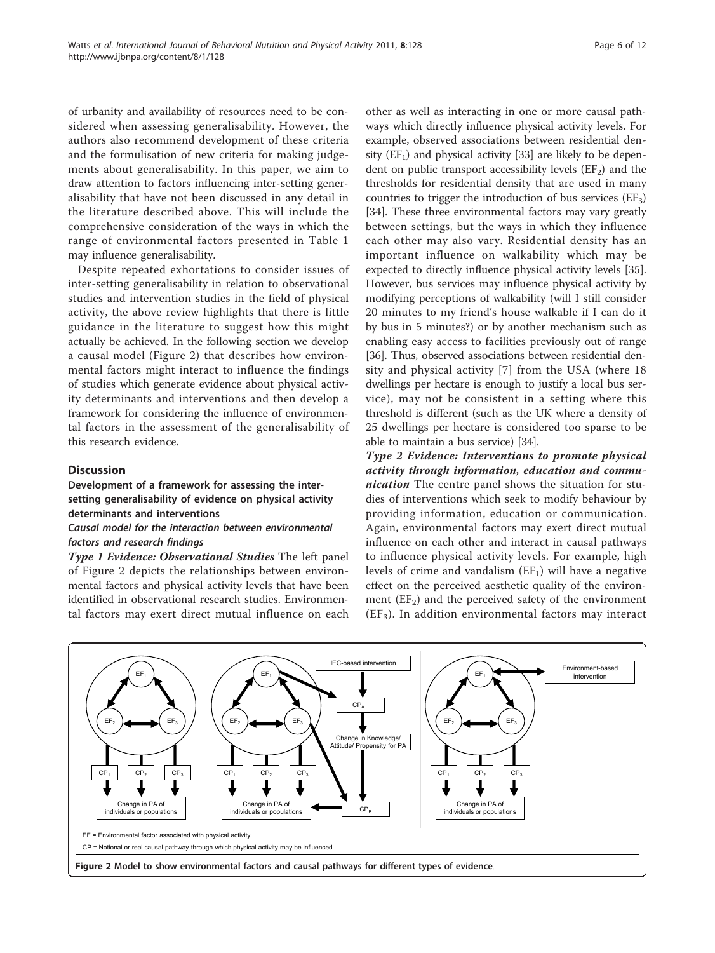<span id="page-5-0"></span>of urbanity and availability of resources need to be considered when assessing generalisability. However, the authors also recommend development of these criteria and the formulisation of new criteria for making judgements about generalisability. In this paper, we aim to draw attention to factors influencing inter-setting generalisability that have not been discussed in any detail in the literature described above. This will include the comprehensive consideration of the ways in which the range of environmental factors presented in Table [1](#page-3-0) may influence generalisability.

Despite repeated exhortations to consider issues of inter-setting generalisability in relation to observational studies and intervention studies in the field of physical activity, the above review highlights that there is little guidance in the literature to suggest how this might actually be achieved. In the following section we develop a causal model (Figure 2) that describes how environmental factors might interact to influence the findings of studies which generate evidence about physical activity determinants and interventions and then develop a framework for considering the influence of environmental factors in the assessment of the generalisability of this research evidence.

# Discussion

Development of a framework for assessing the intersetting generalisability of evidence on physical activity determinants and interventions

# Causal model for the interaction between environmental factors and research findings

Type 1 Evidence: Observational Studies The left panel of Figure 2 depicts the relationships between environmental factors and physical activity levels that have been identified in observational research studies. Environmental factors may exert direct mutual influence on each other as well as interacting in one or more causal pathways which directly influence physical activity levels. For example, observed associations between residential density  $(EF_1)$  and physical activity [\[33\]](#page-11-0) are likely to be dependent on public transport accessibility levels  $(EF<sub>2</sub>)$  and the thresholds for residential density that are used in many countries to trigger the introduction of bus services  $(EF_3)$ [[34\]](#page-11-0). These three environmental factors may vary greatly between settings, but the ways in which they influence each other may also vary. Residential density has an important influence on walkability which may be expected to directly influence physical activity levels [[35](#page-11-0)]. However, bus services may influence physical activity by modifying perceptions of walkability (will I still consider 20 minutes to my friend's house walkable if I can do it by bus in 5 minutes?) or by another mechanism such as enabling easy access to facilities previously out of range [[36](#page-11-0)]. Thus, observed associations between residential density and physical activity [[7\]](#page-10-0) from the USA (where 18 dwellings per hectare is enough to justify a local bus service), may not be consistent in a setting where this threshold is different (such as the UK where a density of 25 dwellings per hectare is considered too sparse to be able to maintain a bus service) [\[34](#page-11-0)].

Type 2 Evidence: Interventions to promote physical activity through information, education and communication The centre panel shows the situation for studies of interventions which seek to modify behaviour by providing information, education or communication. Again, environmental factors may exert direct mutual influence on each other and interact in causal pathways to influence physical activity levels. For example, high levels of crime and vandalism  $(EF_1)$  will have a negative effect on the perceived aesthetic quality of the environment  $(EF_2)$  and the perceived safety of the environment  $(EF_3)$ . In addition environmental factors may interact

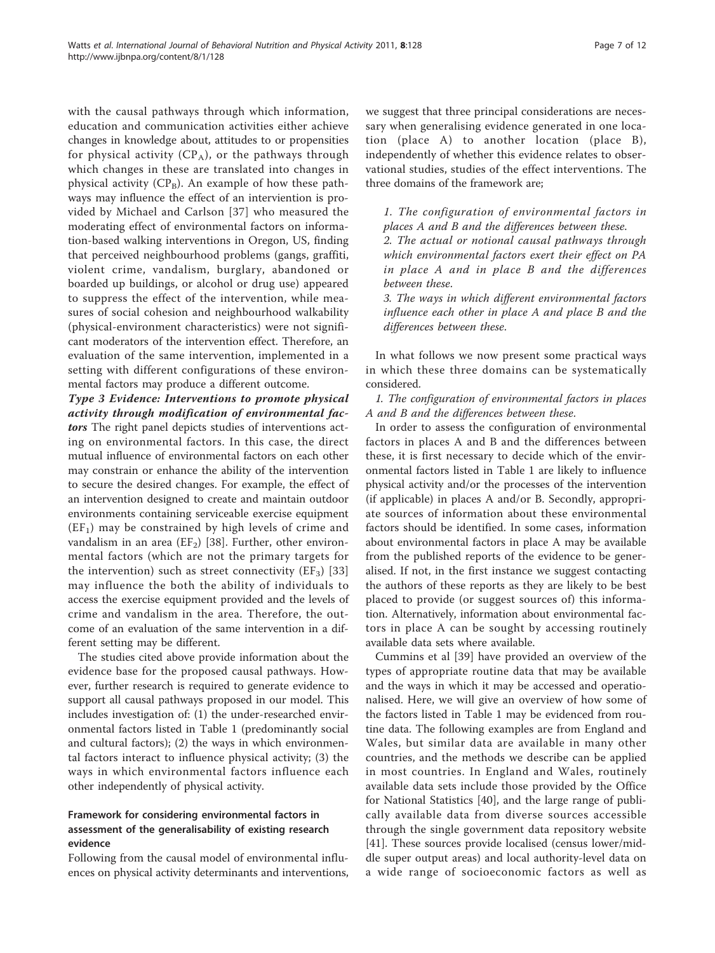with the causal pathways through which information, education and communication activities either achieve changes in knowledge about, attitudes to or propensities for physical activity  $(CP_A)$ , or the pathways through which changes in these are translated into changes in physical activity  $(CP_B)$ . An example of how these pathways may influence the effect of an interviention is provided by Michael and Carlson [[37](#page-11-0)] who measured the moderating effect of environmental factors on information-based walking interventions in Oregon, US, finding that perceived neighbourhood problems (gangs, graffiti, violent crime, vandalism, burglary, abandoned or boarded up buildings, or alcohol or drug use) appeared to suppress the effect of the intervention, while measures of social cohesion and neighbourhood walkability (physical-environment characteristics) were not significant moderators of the intervention effect. Therefore, an evaluation of the same intervention, implemented in a setting with different configurations of these environmental factors may produce a different outcome.

Type 3 Evidence: Interventions to promote physical activity through modification of environmental factors The right panel depicts studies of interventions acting on environmental factors. In this case, the direct mutual influence of environmental factors on each other may constrain or enhance the ability of the intervention to secure the desired changes. For example, the effect of an intervention designed to create and maintain outdoor environments containing serviceable exercise equipment  $(EF<sub>1</sub>)$  may be constrained by high levels of crime and vandalism in an area  $(EF_2)$  [[38](#page-11-0)]. Further, other environmental factors (which are not the primary targets for the intervention) such as street connectivity  $(EF_3)$  [\[33](#page-11-0)] may influence the both the ability of individuals to access the exercise equipment provided and the levels of crime and vandalism in the area. Therefore, the outcome of an evaluation of the same intervention in a different setting may be different.

The studies cited above provide information about the evidence base for the proposed causal pathways. However, further research is required to generate evidence to support all causal pathways proposed in our model. This includes investigation of: (1) the under-researched environmental factors listed in Table [1](#page-3-0) (predominantly social and cultural factors); (2) the ways in which environmental factors interact to influence physical activity; (3) the ways in which environmental factors influence each other independently of physical activity.

# Framework for considering environmental factors in assessment of the generalisability of existing research evidence

Following from the causal model of environmental influences on physical activity determinants and interventions,

we suggest that three principal considerations are necessary when generalising evidence generated in one location (place A) to another location (place B), independently of whether this evidence relates to observational studies, studies of the effect interventions. The three domains of the framework are;

1. The configuration of environmental factors in places A and B and the differences between these.

2. The actual or notional causal pathways through which environmental factors exert their effect on PA in place A and in place B and the differences between these.

3. The ways in which different environmental factors influence each other in place A and place B and the differences between these.

In what follows we now present some practical ways in which these three domains can be systematically considered.

1. The configuration of environmental factors in places A and B and the differences between these.

In order to assess the configuration of environmental factors in places A and B and the differences between these, it is first necessary to decide which of the environmental factors listed in Table [1](#page-3-0) are likely to influence physical activity and/or the processes of the intervention (if applicable) in places A and/or B. Secondly, appropriate sources of information about these environmental factors should be identified. In some cases, information about environmental factors in place A may be available from the published reports of the evidence to be generalised. If not, in the first instance we suggest contacting the authors of these reports as they are likely to be best placed to provide (or suggest sources of) this information. Alternatively, information about environmental factors in place A can be sought by accessing routinely available data sets where available.

Cummins et al [[39\]](#page-11-0) have provided an overview of the types of appropriate routine data that may be available and the ways in which it may be accessed and operationalised. Here, we will give an overview of how some of the factors listed in Table [1](#page-3-0) may be evidenced from routine data. The following examples are from England and Wales, but similar data are available in many other countries, and the methods we describe can be applied in most countries. In England and Wales, routinely available data sets include those provided by the Office for National Statistics [[40\]](#page-11-0), and the large range of publically available data from diverse sources accessible through the single government data repository website [[41\]](#page-11-0). These sources provide localised (census lower/middle super output areas) and local authority-level data on a wide range of socioeconomic factors as well as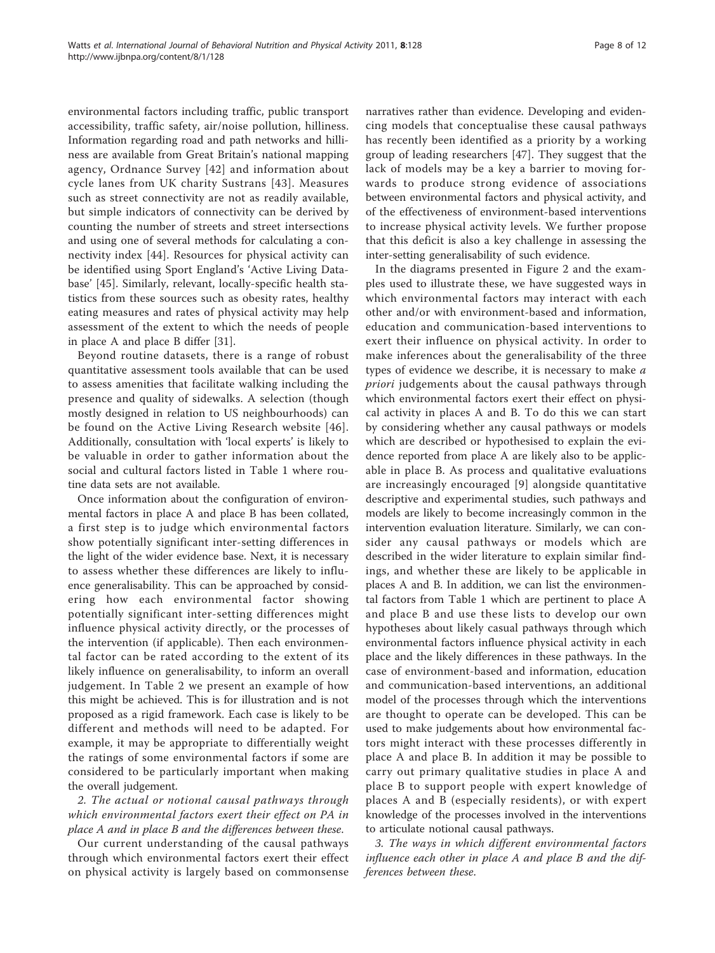environmental factors including traffic, public transport accessibility, traffic safety, air/noise pollution, hilliness. Information regarding road and path networks and hilliness are available from Great Britain's national mapping agency, Ordnance Survey [\[42\]](#page-11-0) and information about cycle lanes from UK charity Sustrans [[43\]](#page-11-0). Measures such as street connectivity are not as readily available, but simple indicators of connectivity can be derived by counting the number of streets and street intersections and using one of several methods for calculating a connectivity index [[44\]](#page-11-0). Resources for physical activity can be identified using Sport England's 'Active Living Database' [\[45](#page-11-0)]. Similarly, relevant, locally-specific health statistics from these sources such as obesity rates, healthy eating measures and rates of physical activity may help assessment of the extent to which the needs of people in place A and place B differ [\[31](#page-11-0)].

Beyond routine datasets, there is a range of robust quantitative assessment tools available that can be used to assess amenities that facilitate walking including the presence and quality of sidewalks. A selection (though mostly designed in relation to US neighbourhoods) can be found on the Active Living Research website [[46\]](#page-11-0). Additionally, consultation with 'local experts' is likely to be valuable in order to gather information about the social and cultural factors listed in Table [1](#page-3-0) where routine data sets are not available.

Once information about the configuration of environmental factors in place A and place B has been collated, a first step is to judge which environmental factors show potentially significant inter-setting differences in the light of the wider evidence base. Next, it is necessary to assess whether these differences are likely to influence generalisability. This can be approached by considering how each environmental factor showing potentially significant inter-setting differences might influence physical activity directly, or the processes of the intervention (if applicable). Then each environmental factor can be rated according to the extent of its likely influence on generalisability, to inform an overall judgement. In Table [2](#page-8-0) we present an example of how this might be achieved. This is for illustration and is not proposed as a rigid framework. Each case is likely to be different and methods will need to be adapted. For example, it may be appropriate to differentially weight the ratings of some environmental factors if some are considered to be particularly important when making the overall judgement.

2. The actual or notional causal pathways through which environmental factors exert their effect on PA in place A and in place B and the differences between these.

Our current understanding of the causal pathways through which environmental factors exert their effect on physical activity is largely based on commonsense narratives rather than evidence. Developing and evidencing models that conceptualise these causal pathways has recently been identified as a priority by a working group of leading researchers [[47\]](#page-11-0). They suggest that the lack of models may be a key a barrier to moving forwards to produce strong evidence of associations between environmental factors and physical activity, and of the effectiveness of environment-based interventions to increase physical activity levels. We further propose that this deficit is also a key challenge in assessing the inter-setting generalisability of such evidence.

In the diagrams presented in Figure [2](#page-5-0) and the examples used to illustrate these, we have suggested ways in which environmental factors may interact with each other and/or with environment-based and information, education and communication-based interventions to exert their influence on physical activity. In order to make inferences about the generalisability of the three types of evidence we describe, it is necessary to make  $a$ priori judgements about the causal pathways through which environmental factors exert their effect on physical activity in places A and B. To do this we can start by considering whether any causal pathways or models which are described or hypothesised to explain the evidence reported from place A are likely also to be applicable in place B. As process and qualitative evaluations are increasingly encouraged [[9](#page-10-0)] alongside quantitative descriptive and experimental studies, such pathways and models are likely to become increasingly common in the intervention evaluation literature. Similarly, we can consider any causal pathways or models which are described in the wider literature to explain similar findings, and whether these are likely to be applicable in places A and B. In addition, we can list the environmental factors from Table [1](#page-3-0) which are pertinent to place A and place B and use these lists to develop our own hypotheses about likely casual pathways through which environmental factors influence physical activity in each place and the likely differences in these pathways. In the case of environment-based and information, education and communication-based interventions, an additional model of the processes through which the interventions are thought to operate can be developed. This can be used to make judgements about how environmental factors might interact with these processes differently in place A and place B. In addition it may be possible to carry out primary qualitative studies in place A and place B to support people with expert knowledge of places A and B (especially residents), or with expert knowledge of the processes involved in the interventions to articulate notional causal pathways.

3. The ways in which different environmental factors influence each other in place A and place B and the differences between these.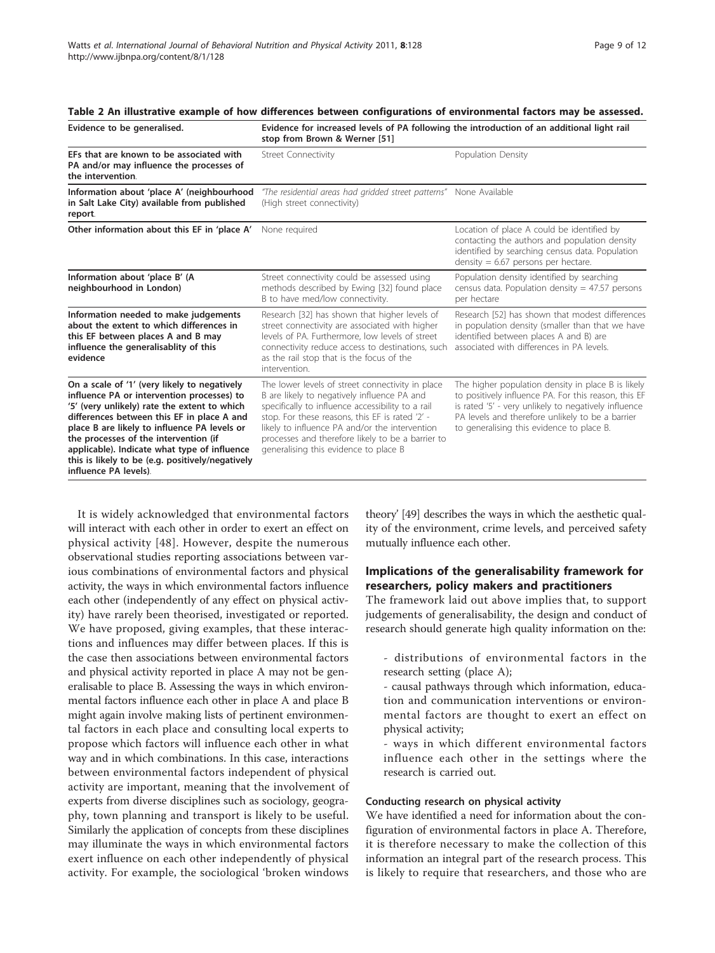<span id="page-8-0"></span>

| Table 2 An illustrative example of how differences between configurations of environmental factors may be assessed. |  |  |
|---------------------------------------------------------------------------------------------------------------------|--|--|
|---------------------------------------------------------------------------------------------------------------------|--|--|

| Evidence to be generalised.                                                                                                                                                                                                                                                                                                                                                                                    | Evidence for increased levels of PA following the introduction of an additional light rail<br>stop from Brown & Werner [51]                                                                                                                                                                                                                             |                                                                                                                                                                                                                                                                     |  |
|----------------------------------------------------------------------------------------------------------------------------------------------------------------------------------------------------------------------------------------------------------------------------------------------------------------------------------------------------------------------------------------------------------------|---------------------------------------------------------------------------------------------------------------------------------------------------------------------------------------------------------------------------------------------------------------------------------------------------------------------------------------------------------|---------------------------------------------------------------------------------------------------------------------------------------------------------------------------------------------------------------------------------------------------------------------|--|
| EFs that are known to be associated with<br>PA and/or may influence the processes of<br>the intervention.                                                                                                                                                                                                                                                                                                      | <b>Street Connectivity</b>                                                                                                                                                                                                                                                                                                                              | Population Density                                                                                                                                                                                                                                                  |  |
| Information about 'place A' (neighbourhood<br>in Salt Lake City) available from published<br>report.                                                                                                                                                                                                                                                                                                           | "The residential areas had gridded street patterns" None Available<br>(High street connectivity)                                                                                                                                                                                                                                                        |                                                                                                                                                                                                                                                                     |  |
| Other information about this EF in 'place A'                                                                                                                                                                                                                                                                                                                                                                   | None required                                                                                                                                                                                                                                                                                                                                           | Location of place A could be identified by<br>contacting the authors and population density<br>identified by searching census data. Population<br>density = $6.67$ persons per hectare.                                                                             |  |
| Information about 'place B' (A<br>neighbourhood in London)                                                                                                                                                                                                                                                                                                                                                     | Street connectivity could be assessed using<br>methods described by Ewing [32] found place<br>B to have med/low connectivity.                                                                                                                                                                                                                           | Population density identified by searching<br>census data. Population density = $47.57$ persons<br>per hectare                                                                                                                                                      |  |
| Information needed to make judgements<br>about the extent to which differences in<br>this EF between places A and B may<br>influence the generalisablity of this<br>evidence                                                                                                                                                                                                                                   | Research [32] has shown that higher levels of<br>street connectivity are associated with higher<br>levels of PA. Furthermore, low levels of street<br>connectivity reduce access to destinations, such<br>as the rail stop that is the focus of the<br>intervention.                                                                                    | Research [52] has shown that modest differences<br>in population density (smaller than that we have<br>identified between places A and B) are<br>associated with differences in PA levels.                                                                          |  |
| On a scale of '1' (very likely to negatively<br>influence PA or intervention processes) to<br>'5' (very unlikely) rate the extent to which<br>differences between this EF in place A and<br>place B are likely to influence PA levels or<br>the processes of the intervention (if<br>applicable). Indicate what type of influence<br>this is likely to be (e.g. positively/negatively<br>influence PA levels). | The lower levels of street connectivity in place<br>B are likely to negatively influence PA and<br>specifically to influence accessibility to a rail<br>stop. For these reasons, this EF is rated '2' -<br>likely to influence PA and/or the intervention<br>processes and therefore likely to be a barrier to<br>generalising this evidence to place B | The higher population density in place B is likely<br>to positively influence PA. For this reason, this EF<br>is rated '5' - very unlikely to negatively influence<br>PA levels and therefore unlikely to be a barrier<br>to generalising this evidence to place B. |  |

It is widely acknowledged that environmental factors will interact with each other in order to exert an effect on physical activity [[48](#page-11-0)]. However, despite the numerous observational studies reporting associations between various combinations of environmental factors and physical activity, the ways in which environmental factors influence each other (independently of any effect on physical activity) have rarely been theorised, investigated or reported. We have proposed, giving examples, that these interactions and influences may differ between places. If this is the case then associations between environmental factors and physical activity reported in place A may not be generalisable to place B. Assessing the ways in which environmental factors influence each other in place A and place B might again involve making lists of pertinent environmental factors in each place and consulting local experts to propose which factors will influence each other in what way and in which combinations. In this case, interactions between environmental factors independent of physical activity are important, meaning that the involvement of experts from diverse disciplines such as sociology, geography, town planning and transport is likely to be useful. Similarly the application of concepts from these disciplines may illuminate the ways in which environmental factors exert influence on each other independently of physical activity. For example, the sociological 'broken windows

theory' [[49](#page-11-0)] describes the ways in which the aesthetic quality of the environment, crime levels, and perceived safety mutually influence each other.

# Implications of the generalisability framework for researchers, policy makers and practitioners

The framework laid out above implies that, to support judgements of generalisability, the design and conduct of research should generate high quality information on the:

- distributions of environmental factors in the research setting (place A);
- causal pathways through which information, education and communication interventions or environmental factors are thought to exert an effect on physical activity;
- ways in which different environmental factors influence each other in the settings where the research is carried out.

# Conducting research on physical activity

We have identified a need for information about the configuration of environmental factors in place A. Therefore, it is therefore necessary to make the collection of this information an integral part of the research process. This is likely to require that researchers, and those who are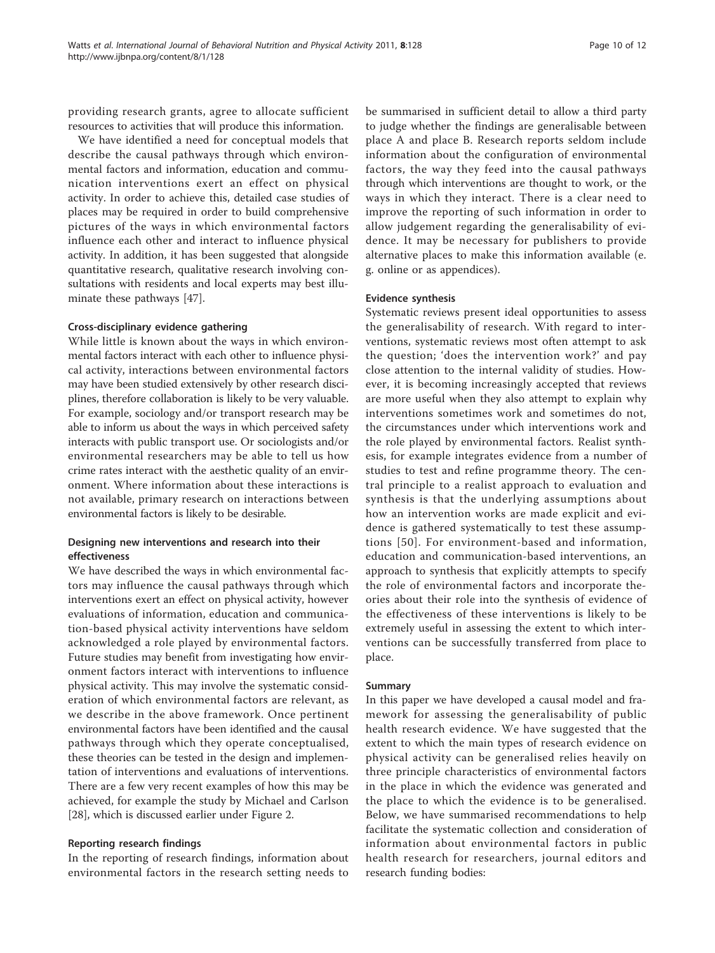providing research grants, agree to allocate sufficient resources to activities that will produce this information.

We have identified a need for conceptual models that describe the causal pathways through which environmental factors and information, education and communication interventions exert an effect on physical activity. In order to achieve this, detailed case studies of places may be required in order to build comprehensive pictures of the ways in which environmental factors influence each other and interact to influence physical activity. In addition, it has been suggested that alongside quantitative research, qualitative research involving consultations with residents and local experts may best illuminate these pathways [[47\]](#page-11-0).

# Cross-disciplinary evidence gathering

While little is known about the ways in which environmental factors interact with each other to influence physical activity, interactions between environmental factors may have been studied extensively by other research disciplines, therefore collaboration is likely to be very valuable. For example, sociology and/or transport research may be able to inform us about the ways in which perceived safety interacts with public transport use. Or sociologists and/or environmental researchers may be able to tell us how crime rates interact with the aesthetic quality of an environment. Where information about these interactions is not available, primary research on interactions between environmental factors is likely to be desirable.

# Designing new interventions and research into their effectiveness

We have described the ways in which environmental factors may influence the causal pathways through which interventions exert an effect on physical activity, however evaluations of information, education and communication-based physical activity interventions have seldom acknowledged a role played by environmental factors. Future studies may benefit from investigating how environment factors interact with interventions to influence physical activity. This may involve the systematic consideration of which environmental factors are relevant, as we describe in the above framework. Once pertinent environmental factors have been identified and the causal pathways through which they operate conceptualised, these theories can be tested in the design and implementation of interventions and evaluations of interventions. There are a few very recent examples of how this may be achieved, for example the study by Michael and Carlson [[28\]](#page-11-0), which is discussed earlier under Figure [2.](#page-5-0)

# Reporting research findings

In the reporting of research findings, information about environmental factors in the research setting needs to be summarised in sufficient detail to allow a third party to judge whether the findings are generalisable between place A and place B. Research reports seldom include information about the configuration of environmental factors, the way they feed into the causal pathways through which interventions are thought to work, or the ways in which they interact. There is a clear need to improve the reporting of such information in order to allow judgement regarding the generalisability of evidence. It may be necessary for publishers to provide alternative places to make this information available (e. g. online or as appendices).

# Evidence synthesis

Systematic reviews present ideal opportunities to assess the generalisability of research. With regard to interventions, systematic reviews most often attempt to ask the question; 'does the intervention work?' and pay close attention to the internal validity of studies. However, it is becoming increasingly accepted that reviews are more useful when they also attempt to explain why interventions sometimes work and sometimes do not, the circumstances under which interventions work and the role played by environmental factors. Realist synthesis, for example integrates evidence from a number of studies to test and refine programme theory. The central principle to a realist approach to evaluation and synthesis is that the underlying assumptions about how an intervention works are made explicit and evidence is gathered systematically to test these assumptions [[50\]](#page-11-0). For environment-based and information, education and communication-based interventions, an approach to synthesis that explicitly attempts to specify the role of environmental factors and incorporate theories about their role into the synthesis of evidence of the effectiveness of these interventions is likely to be extremely useful in assessing the extent to which interventions can be successfully transferred from place to place.

# Summary

In this paper we have developed a causal model and framework for assessing the generalisability of public health research evidence. We have suggested that the extent to which the main types of research evidence on physical activity can be generalised relies heavily on three principle characteristics of environmental factors in the place in which the evidence was generated and the place to which the evidence is to be generalised. Below, we have summarised recommendations to help facilitate the systematic collection and consideration of information about environmental factors in public health research for researchers, journal editors and research funding bodies: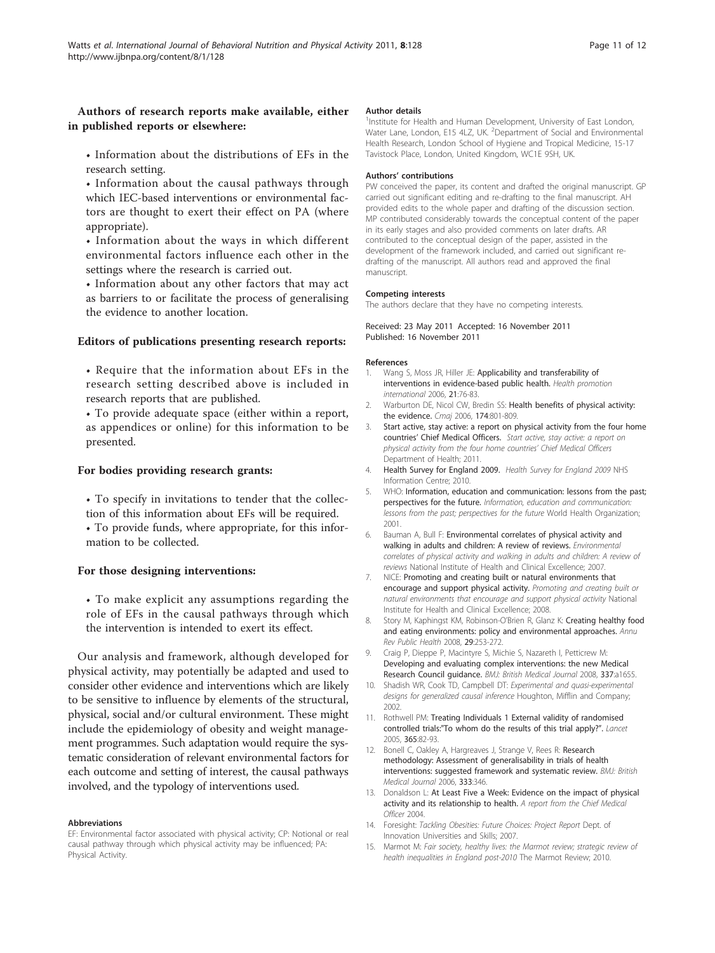# <span id="page-10-0"></span>Authors of research reports make available, either in published reports or elsewhere:

• Information about the distributions of EFs in the research setting.

• Information about the causal pathways through which IEC-based interventions or environmental factors are thought to exert their effect on PA (where appropriate).

• Information about the ways in which different environmental factors influence each other in the settings where the research is carried out.

• Information about any other factors that may act as barriers to or facilitate the process of generalising the evidence to another location.

### Editors of publications presenting research reports:

• Require that the information about EFs in the research setting described above is included in research reports that are published.

• To provide adequate space (either within a report, as appendices or online) for this information to be presented.

#### For bodies providing research grants:

• To specify in invitations to tender that the collection of this information about EFs will be required.

• To provide funds, where appropriate, for this information to be collected.

#### For those designing interventions:

• To make explicit any assumptions regarding the role of EFs in the causal pathways through which the intervention is intended to exert its effect.

Our analysis and framework, although developed for physical activity, may potentially be adapted and used to consider other evidence and interventions which are likely to be sensitive to influence by elements of the structural, physical, social and/or cultural environment. These might include the epidemiology of obesity and weight management programmes. Such adaptation would require the systematic consideration of relevant environmental factors for each outcome and setting of interest, the causal pathways involved, and the typology of interventions used.

### Abbreviations

EF: Environmental factor associated with physical activity; CP: Notional or real causal pathway through which physical activity may be influenced; PA: Physical Activity.

#### Author details

<sup>1</sup>Institute for Health and Human Development, University of East London, Water Lane, London, E15 4LZ, UK. <sup>2</sup>Department of Social and Environmental Health Research, London School of Hygiene and Tropical Medicine, 15-17 Tavistock Place, London, United Kingdom, WC1E 9SH, UK.

#### Authors' contributions

PW conceived the paper, its content and drafted the original manuscript. GP carried out significant editing and re-drafting to the final manuscript. AH provided edits to the whole paper and drafting of the discussion section. MP contributed considerably towards the conceptual content of the paper in its early stages and also provided comments on later drafts. AR contributed to the conceptual design of the paper, assisted in the development of the framework included, and carried out significant redrafting of the manuscript. All authors read and approved the final manuscript.

#### Competing interests

The authors declare that they have no competing interests.

Received: 23 May 2011 Accepted: 16 November 2011 Published: 16 November 2011

#### References

- 1. Wang S, Moss JR, Hiller JE: [Applicability and transferability of](http://www.ncbi.nlm.nih.gov/pubmed/16249192?dopt=Abstract) [interventions in evidence-based public health.](http://www.ncbi.nlm.nih.gov/pubmed/16249192?dopt=Abstract) Health promotion international 2006, 21:76-83.
- 2. Warburton DE, Nicol CW, Bredin SS: [Health benefits of physical activity:](http://www.ncbi.nlm.nih.gov/pubmed/16534088?dopt=Abstract) [the evidence.](http://www.ncbi.nlm.nih.gov/pubmed/16534088?dopt=Abstract) Cmaj 2006, 174:801-809.
- 3. Start active, stay active: a report on physical activity from the four home countries' Chief Medical Officers. Start active, stay active: a report on physical activity from the four home countries' Chief Medical Officers Department of Health; 2011.
- 4. Health Survey for England 2009. Health Survey for England 2009 NHS Information Centre; 2010.
- 5. WHO: [Information, education and communication: lessons from the past;](http://www.ncbi.nlm.nih.gov/pubmed/20858020?dopt=Abstract) [perspectives for the future.](http://www.ncbi.nlm.nih.gov/pubmed/20858020?dopt=Abstract) Information, education and communication: lessons from the past; perspectives for the future World Health Organization; 2001.
- 6. Bauman A, Bull F: Environmental correlates of physical activity and walking in adults and children: A review of reviews. Environmental correlates of physical activity and walking in adults and children: A review of reviews National Institute of Health and Clinical Excellence; 2007.
- 7. NICE: Promoting and creating built or natural environments that encourage and support physical activity. Promoting and creating built or natural environments that encourage and support physical activity National Institute for Health and Clinical Excellence; 2008.
- 8. Story M, Kaphingst KM, Robinson-O'Brien R, Glanz K: [Creating healthy food](http://www.ncbi.nlm.nih.gov/pubmed/18031223?dopt=Abstract) [and eating environments: policy and environmental approaches.](http://www.ncbi.nlm.nih.gov/pubmed/18031223?dopt=Abstract) Annu Rev Public Health 2008, 29:253-272.
- 9. Craig P, Dieppe P, Macintyre S, Michie S, Nazareth I, Petticrew M: [Developing and evaluating complex interventions: the new Medical](http://www.ncbi.nlm.nih.gov/pubmed/18824488?dopt=Abstract) [Research Council guidance.](http://www.ncbi.nlm.nih.gov/pubmed/18824488?dopt=Abstract) BMJ: British Medical Journal 2008, 337:a1655.
- 10. Shadish WR, Cook TD, Campbell DT: Experimental and quasi-experimental designs for generalized causal inference Houghton, Mifflin and Company; 2002.
- 11. Rothwell PM: [Treating Individuals 1 External validity of randomised](http://www.ncbi.nlm.nih.gov/pubmed/15639683?dopt=Abstract) [controlled trials:"To whom do the results of this trial apply?](http://www.ncbi.nlm.nih.gov/pubmed/15639683?dopt=Abstract)". Lancet 2005, 365:82-93.
- 12. Bonell C, Oakley A, Hargreaves J, Strange V, Rees R: [Research](http://www.ncbi.nlm.nih.gov/pubmed/16902217?dopt=Abstract) [methodology: Assessment of generalisability in trials of health](http://www.ncbi.nlm.nih.gov/pubmed/16902217?dopt=Abstract) [interventions: suggested framework and systematic review.](http://www.ncbi.nlm.nih.gov/pubmed/16902217?dopt=Abstract) BMJ: British Medical Journal 2006, 333:346.
- 13. Donaldson L: At Least Five a Week: Evidence on the impact of physical activity and its relationship to health. A report from the Chief Medical Officer 2004.
- 14. Foresight: Tackling Obesities: Future Choices: Project Report Dept. of Innovation Universities and Skills; 2007.
- 15. Marmot M: Fair society, healthy lives: the Marmot review; strategic review of health inequalities in England post-2010 The Marmot Review; 2010.